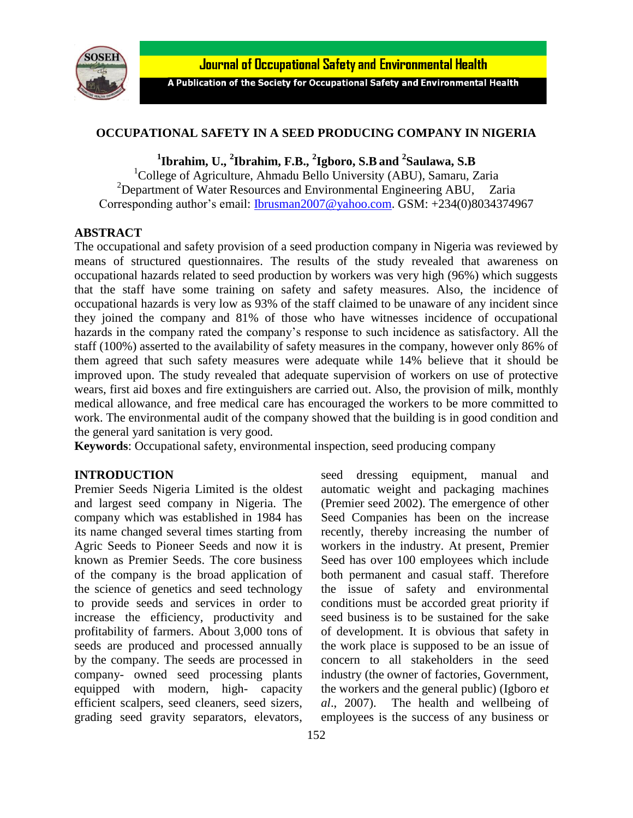

Journal of Occupational Safety and Environmental Health

A Publication of the Society for Occupational Safety and Environmental Health

# **OCCUPATIONAL SAFETY IN A SEED PRODUCING COMPANY IN NIGERIA**

**1 Ibrahim, U., <sup>2</sup> Ibrahim, F.B., <sup>2</sup> Igboro, S.B and <sup>2</sup> Saulawa, S.B**

<sup>1</sup>College of Agriculture, Ahmadu Bello University (ABU), Samaru, Zaria  $2$ Department of Water Resources and Environmental Engineering ABU, Zaria Corresponding author's email: [Ibrusman2007@yahoo.com.](mailto:Ibrusman2007@yahoo.com) GSM: +234(0)8034374967

## **ABSTRACT**

The occupational and safety provision of a seed production company in Nigeria was reviewed by means of structured questionnaires. The results of the study revealed that awareness on occupational hazards related to seed production by workers was very high (96%) which suggests that the staff have some training on safety and safety measures. Also, the incidence of occupational hazards is very low as 93% of the staff claimed to be unaware of any incident since they joined the company and 81% of those who have witnesses incidence of occupational hazards in the company rated the company's response to such incidence as satisfactory. All the staff (100%) asserted to the availability of safety measures in the company, however only 86% of them agreed that such safety measures were adequate while 14% believe that it should be improved upon. The study revealed that adequate supervision of workers on use of protective wears, first aid boxes and fire extinguishers are carried out. Also, the provision of milk, monthly medical allowance, and free medical care has encouraged the workers to be more committed to work. The environmental audit of the company showed that the building is in good condition and the general yard sanitation is very good.

**Keywords**: Occupational safety, environmental inspection, seed producing company

#### **INTRODUCTION**

Premier Seeds Nigeria Limited is the oldest and largest seed company in Nigeria. The company which was established in 1984 has its name changed several times starting from Agric Seeds to Pioneer Seeds and now it is known as Premier Seeds. The core business of the company is the broad application of the science of genetics and seed technology to provide seeds and services in order to increase the efficiency, productivity and profitability of farmers. About 3,000 tons of seeds are produced and processed annually by the company. The seeds are processed in company- owned seed processing plants equipped with modern, high- capacity efficient scalpers, seed cleaners, seed sizers, grading seed gravity separators, elevators, seed dressing equipment, manual and automatic weight and packaging machines (Premier seed 2002). The emergence of other Seed Companies has been on the increase recently, thereby increasing the number of workers in the industry. At present, Premier Seed has over 100 employees which include both permanent and casual staff. Therefore the issue of safety and environmental conditions must be accorded great priority if seed business is to be sustained for the sake of development. It is obvious that safety in the work place is supposed to be an issue of concern to all stakeholders in the seed industry (the owner of factories, Government,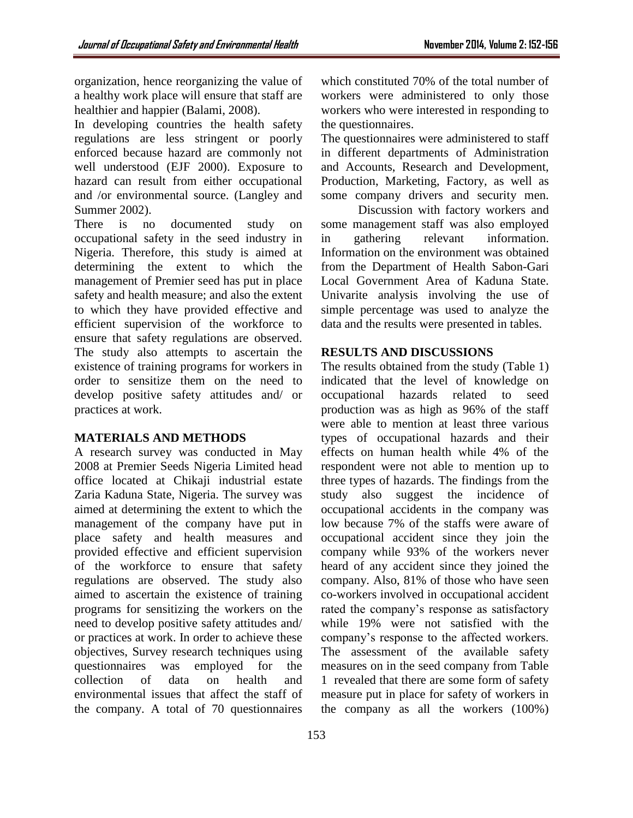organization, hence reorganizing the value of a healthy work place will ensure that staff are healthier and happier (Balami, 2008).

In developing countries the health safety regulations are less stringent or poorly enforced because hazard are commonly not well understood (EJF 2000). Exposure to hazard can result from either occupational and /or environmental source. (Langley and Summer 2002).

There is no documented study on occupational safety in the seed industry in Nigeria. Therefore, this study is aimed at determining the extent to which the management of Premier seed has put in place safety and health measure; and also the extent to which they have provided effective and efficient supervision of the workforce to ensure that safety regulations are observed. The study also attempts to ascertain the existence of training programs for workers in order to sensitize them on the need to develop positive safety attitudes and/ or practices at work.

# **MATERIALS AND METHODS**

A research survey was conducted in May 2008 at Premier Seeds Nigeria Limited head office located at Chikaji industrial estate Zaria Kaduna State, Nigeria. The survey was aimed at determining the extent to which the management of the company have put in place safety and health measures and provided effective and efficient supervision of the workforce to ensure that safety regulations are observed. The study also aimed to ascertain the existence of training programs for sensitizing the workers on the need to develop positive safety attitudes and/ or practices at work. In order to achieve these objectives, Survey research techniques using questionnaires was employed for the collection of data on health and environmental issues that affect the staff of the company. A total of 70 questionnaires

153

which constituted 70% of the total number of workers were administered to only those workers who were interested in responding to the questionnaires.

The questionnaires were administered to staff in different departments of Administration and Accounts, Research and Development, Production, Marketing, Factory, as well as some company drivers and security men.

Discussion with factory workers and some management staff was also employed in gathering relevant information. Information on the environment was obtained from the Department of Health Sabon-Gari Local Government Area of Kaduna State. Univarite analysis involving the use of simple percentage was used to analyze the data and the results were presented in tables.

# **RESULTS AND DISCUSSIONS**

The results obtained from the study (Table 1) indicated that the level of knowledge on occupational hazards related to seed production was as high as 96% of the staff were able to mention at least three various types of occupational hazards and their effects on human health while 4% of the respondent were not able to mention up to three types of hazards. The findings from the study also suggest the incidence of occupational accidents in the company was low because 7% of the staffs were aware of occupational accident since they join the company while 93% of the workers never heard of any accident since they joined the company. Also, 81% of those who have seen co-workers involved in occupational accident rated the company's response as satisfactory while 19% were not satisfied with the company's response to the affected workers. The assessment of the available safety measures on in the seed company from Table 1 revealed that there are some form of safety measure put in place for safety of workers in the company as all the workers (100%)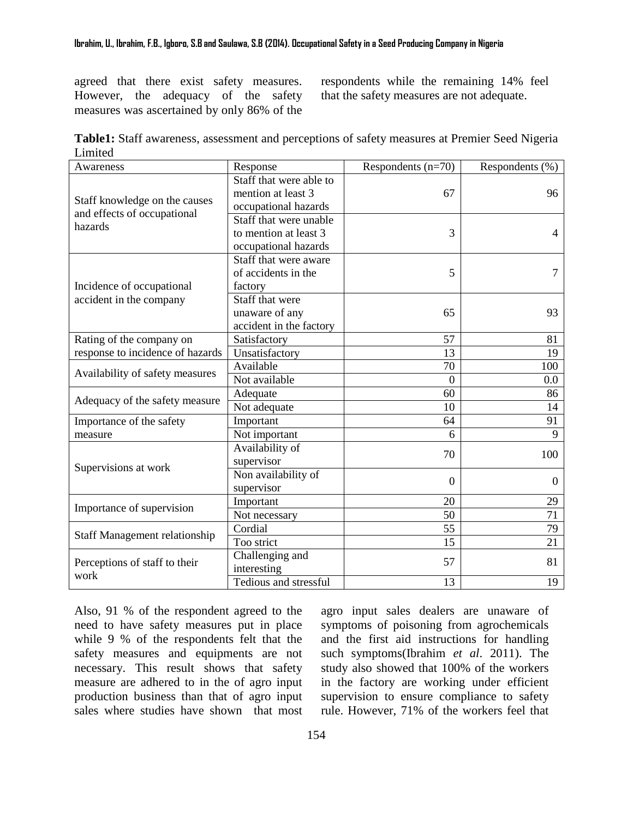agreed that there exist safety measures. However, the adequacy of the safety measures was ascertained by only 86% of the

respondents while the remaining 14% feel that the safety measures are not adequate.

| Table1: Staff awareness, assessment and perceptions of safety measures at Premier Seed Nigeria |  |
|------------------------------------------------------------------------------------------------|--|
| Limited                                                                                        |  |

| Awareness                                                               | Response                | Respondents $(n=70)$ | Respondents (%) |
|-------------------------------------------------------------------------|-------------------------|----------------------|-----------------|
| Staff knowledge on the causes<br>and effects of occupational<br>hazards | Staff that were able to |                      |                 |
|                                                                         | mention at least 3      | 67                   | 96              |
|                                                                         | occupational hazards    |                      |                 |
|                                                                         | Staff that were unable  |                      |                 |
|                                                                         | to mention at least 3   | 3                    | 4               |
|                                                                         | occupational hazards    |                      |                 |
| Incidence of occupational<br>accident in the company                    | Staff that were aware   |                      |                 |
|                                                                         | of accidents in the     | 5                    | 7               |
|                                                                         | factory                 |                      |                 |
|                                                                         | Staff that were         |                      |                 |
|                                                                         | unaware of any          | 65                   | 93              |
|                                                                         | accident in the factory |                      |                 |
| Rating of the company on<br>response to incidence of hazards            | Satisfactory            | 57                   | 81              |
|                                                                         | Unsatisfactory          | 13                   | 19              |
|                                                                         | Available               | 70                   | 100             |
| Availability of safety measures                                         | Not available           | $\overline{0}$       | 0.0             |
| Adequacy of the safety measure                                          | Adequate                | 60                   | 86              |
|                                                                         | Not adequate            | 10                   | 14              |
| Importance of the safety<br>measure                                     | Important               | 64                   | 91              |
|                                                                         | Not important           | 6                    | 9               |
| Supervisions at work                                                    | Availability of         | 70                   | 100             |
|                                                                         | supervisor              |                      |                 |
|                                                                         | Non availability of     | $\overline{0}$       |                 |
|                                                                         | supervisor              |                      | $\overline{0}$  |
| Importance of supervision                                               | Important               | 20                   | 29              |
|                                                                         | Not necessary           | 50                   | 71              |
| Staff Management relationship                                           | Cordial                 | $\overline{55}$      | 79              |
|                                                                         | Too strict              | 15                   | 21              |
| Perceptions of staff to their<br>work                                   | Challenging and         | 57                   | 81              |
|                                                                         | interesting             |                      |                 |
|                                                                         | Tedious and stressful   | 13                   | 19              |

Also, 91 % of the respondent agreed to the need to have safety measures put in place while 9 % of the respondents felt that the safety measures and equipments are not necessary. This result shows that safety measure are adhered to in the of agro input production business than that of agro input sales where studies have shown that most agro input sales dealers are unaware of symptoms of poisoning from agrochemicals and the first aid instructions for handling such symptoms(Ibrahim *et al*. 2011). The study also showed that 100% of the workers in the factory are working under efficient supervision to ensure compliance to safety rule. However, 71% of the workers feel that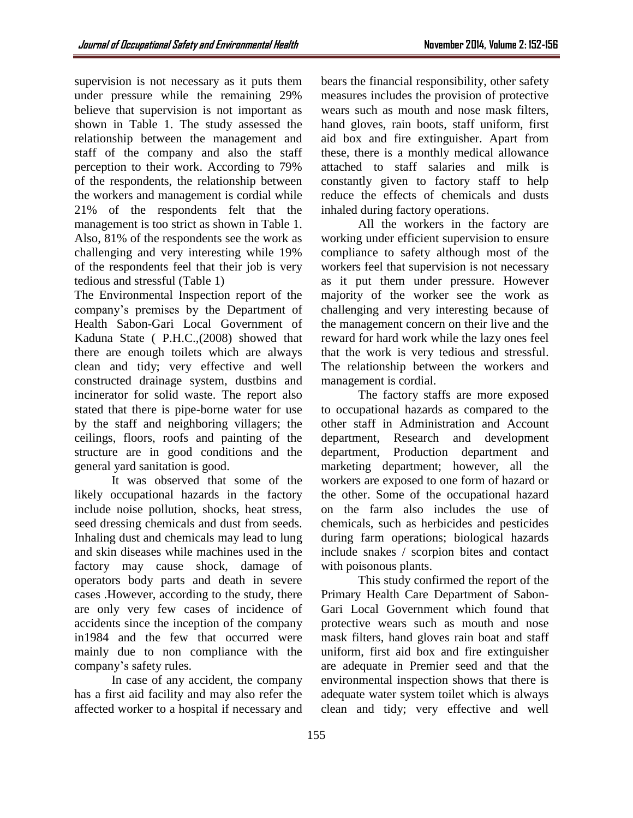supervision is not necessary as it puts them under pressure while the remaining 29% believe that supervision is not important as shown in Table 1. The study assessed the relationship between the management and staff of the company and also the staff perception to their work. According to 79% of the respondents, the relationship between the workers and management is cordial while 21% of the respondents felt that the management is too strict as shown in Table 1. Also, 81% of the respondents see the work as challenging and very interesting while 19% of the respondents feel that their job is very tedious and stressful (Table 1)

The Environmental Inspection report of the company's premises by the Department of Health Sabon-Gari Local Government of Kaduna State ( P.H.C.,(2008) showed that there are enough toilets which are always clean and tidy; very effective and well constructed drainage system, dustbins and incinerator for solid waste. The report also stated that there is pipe-borne water for use by the staff and neighboring villagers; the ceilings, floors, roofs and painting of the structure are in good conditions and the general yard sanitation is good.

It was observed that some of the likely occupational hazards in the factory include noise pollution, shocks, heat stress, seed dressing chemicals and dust from seeds. Inhaling dust and chemicals may lead to lung and skin diseases while machines used in the factory may cause shock, damage of operators body parts and death in severe cases .However, according to the study, there are only very few cases of incidence of accidents since the inception of the company in1984 and the few that occurred were mainly due to non compliance with the company's safety rules.

In case of any accident, the company has a first aid facility and may also refer the affected worker to a hospital if necessary and bears the financial responsibility, other safety measures includes the provision of protective wears such as mouth and nose mask filters, hand gloves, rain boots, staff uniform, first aid box and fire extinguisher. Apart from these, there is a monthly medical allowance attached to staff salaries and milk is constantly given to factory staff to help reduce the effects of chemicals and dusts inhaled during factory operations.

All the workers in the factory are working under efficient supervision to ensure compliance to safety although most of the workers feel that supervision is not necessary as it put them under pressure. However majority of the worker see the work as challenging and very interesting because of the management concern on their live and the reward for hard work while the lazy ones feel that the work is very tedious and stressful. The relationship between the workers and management is cordial.

The factory staffs are more exposed to occupational hazards as compared to the other staff in Administration and Account department, Research and development department, Production department and marketing department; however, all the workers are exposed to one form of hazard or the other. Some of the occupational hazard on the farm also includes the use of chemicals, such as herbicides and pesticides during farm operations; biological hazards include snakes / scorpion bites and contact with poisonous plants.

This study confirmed the report of the Primary Health Care Department of Sabon-Gari Local Government which found that protective wears such as mouth and nose mask filters, hand gloves rain boat and staff uniform, first aid box and fire extinguisher are adequate in Premier seed and that the environmental inspection shows that there is adequate water system toilet which is always clean and tidy; very effective and well